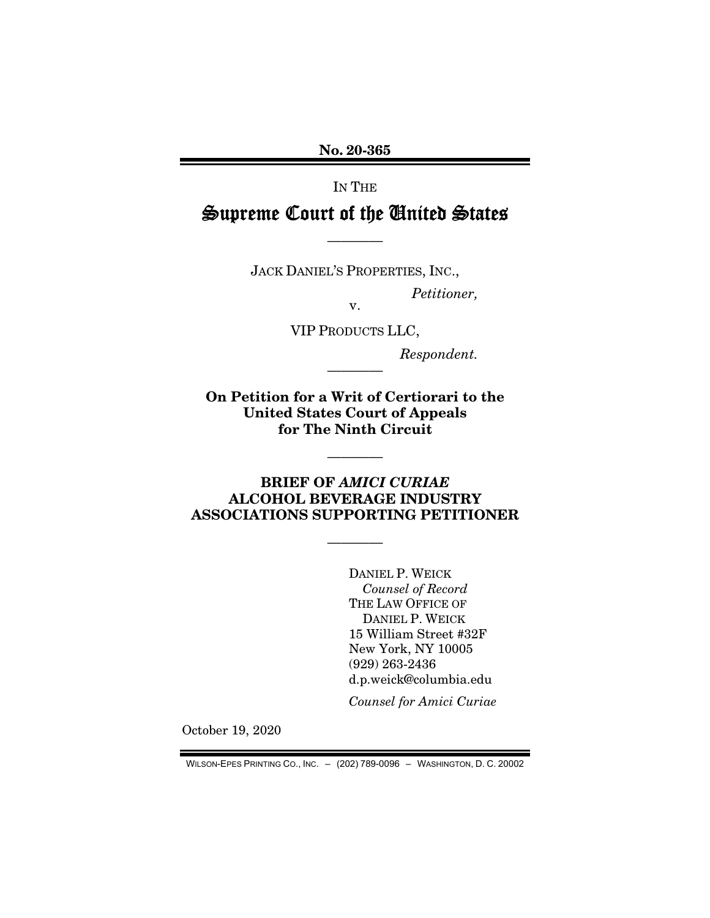No. 20-365

IN THE

# Supreme Court of the United States

JACK DANIEL'S PROPERTIES, INC.,

————

*Petitioner,* 

v. VIP PRODUCTS LLC,

————

*Respondent.* 

On Petition for a Writ of Certiorari to the United States Court of Appeals for The Ninth Circuit

### BRIEF OF *AMICI CURIAE* ALCOHOL BEVERAGE INDUSTRY ASSOCIATIONS SUPPORTING PETITIONER

————

————

DANIEL P. WEICK *Counsel of Record*  THE LAW OFFICE OF DANIEL P. WEICK 15 William Street #32F New York, NY 10005 (929) 263-2436 d.p.weick@columbia.edu

*Counsel for Amici Curiae* 

October 19, 2020

WILSON-EPES PRINTING CO., INC. – (202) 789-0096 – WASHINGTON, D. C. 20002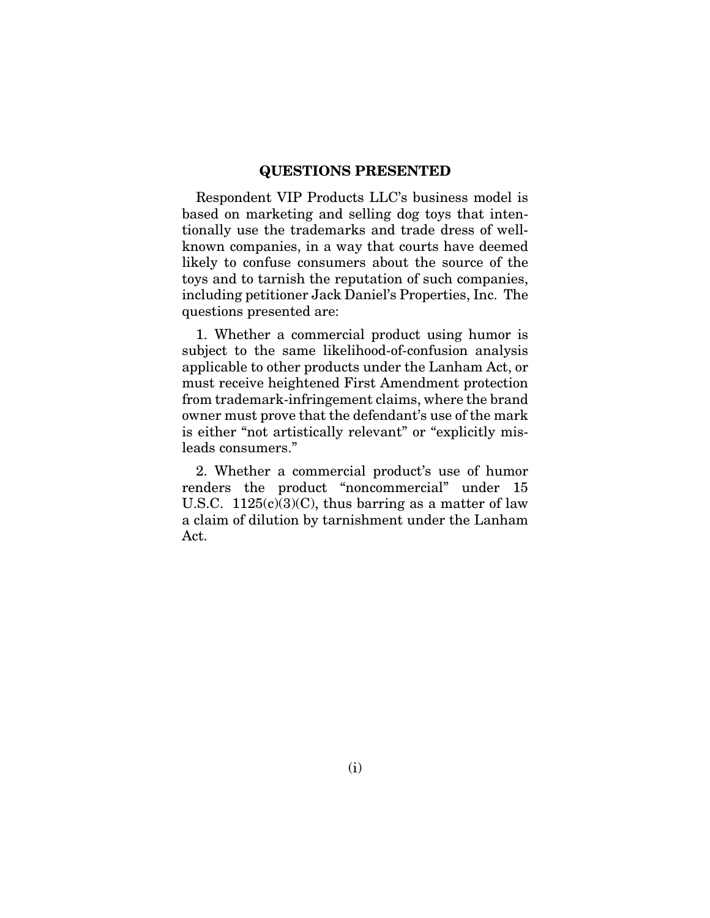#### QUESTIONS PRESENTED

Respondent VIP Products LLC's business model is based on marketing and selling dog toys that intentionally use the trademarks and trade dress of wellknown companies, in a way that courts have deemed likely to confuse consumers about the source of the toys and to tarnish the reputation of such companies, including petitioner Jack Daniel's Properties, Inc. The questions presented are:

1. Whether a commercial product using humor is subject to the same likelihood-of-confusion analysis applicable to other products under the Lanham Act, or must receive heightened First Amendment protection from trademark-infringement claims, where the brand owner must prove that the defendant's use of the mark is either "not artistically relevant" or "explicitly misleads consumers."

2. Whether a commercial product's use of humor renders the product "noncommercial" under 15 U.S.C.  $1125(c)(3)(C)$ , thus barring as a matter of law a claim of dilution by tarnishment under the Lanham Act.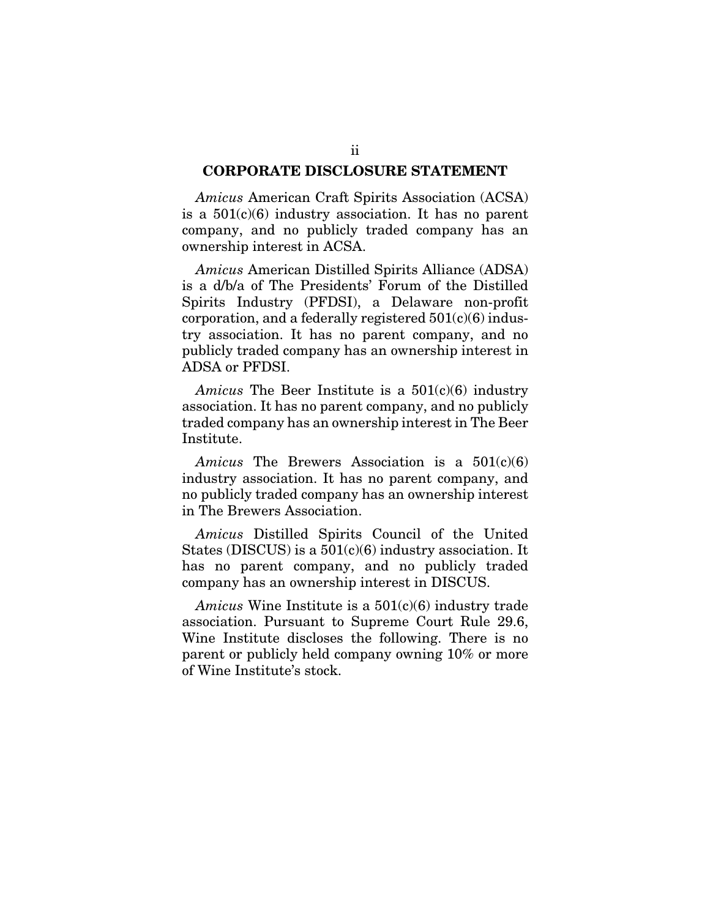#### CORPORATE DISCLOSURE STATEMENT

*Amicus* American Craft Spirits Association (ACSA) is a  $501(c)(6)$  industry association. It has no parent company, and no publicly traded company has an ownership interest in ACSA.

*Amicus* American Distilled Spirits Alliance (ADSA) is a d/b/a of The Presidents' Forum of the Distilled Spirits Industry (PFDSI), a Delaware non-profit corporation, and a federally registered  $501(c)(6)$  industry association. It has no parent company, and no publicly traded company has an ownership interest in ADSA or PFDSI.

*Amicus* The Beer Institute is a 501(c)(6) industry association. It has no parent company, and no publicly traded company has an ownership interest in The Beer Institute.

*Amicus* The Brewers Association is a 501(c)(6) industry association. It has no parent company, and no publicly traded company has an ownership interest in The Brewers Association.

*Amicus* Distilled Spirits Council of the United States (DISCUS) is a  $501(c)(6)$  industry association. It has no parent company, and no publicly traded company has an ownership interest in DISCUS.

*Amicus* Wine Institute is a 501(c)(6) industry trade association. Pursuant to Supreme Court Rule 29.6, Wine Institute discloses the following. There is no parent or publicly held company owning 10% or more of Wine Institute's stock.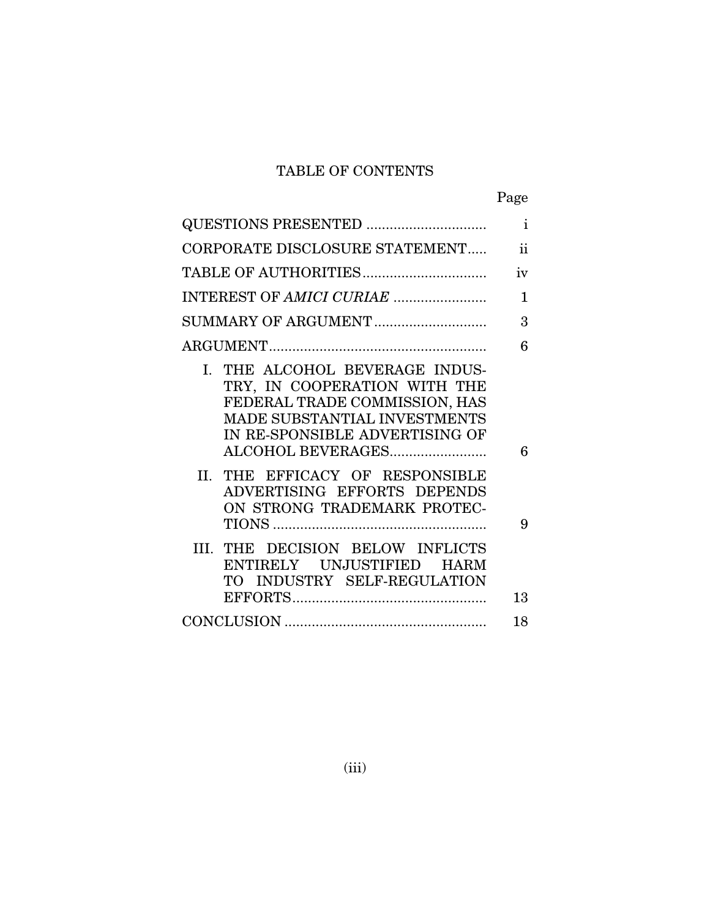# TABLE OF CONTENTS

|--|

|                                                                                                                                                                                           | $\mathbf{i}$        |
|-------------------------------------------------------------------------------------------------------------------------------------------------------------------------------------------|---------------------|
| CORPORATE DISCLOSURE STATEMENT                                                                                                                                                            | $\ddot{\mathbf{i}}$ |
|                                                                                                                                                                                           | iv                  |
|                                                                                                                                                                                           | 1                   |
| SUMMARY OF ARGUMENT                                                                                                                                                                       | 3                   |
|                                                                                                                                                                                           | 6                   |
| THE ALCOHOL BEVERAGE INDUS-<br>L.<br>TRY, IN COOPERATION WITH THE<br>FEDERAL TRADE COMMISSION, HAS<br>MADE SUBSTANTIAL INVESTMENTS<br>IN RE-SPONSIBLE ADVERTISING OF<br>ALCOHOL BEVERAGES | 6                   |
| THE EFFICACY OF RESPONSIBLE<br>II.<br>ADVERTISING EFFORTS DEPENDS<br>ON STRONG TRADEMARK PROTEC-                                                                                          | 9                   |
| III. THE DECISION BELOW INFLICTS<br>ENTIRELY UNJUSTIFIED HARM<br>TO INDUSTRY SELF-REGULATION                                                                                              | 13                  |
|                                                                                                                                                                                           | 18                  |
|                                                                                                                                                                                           |                     |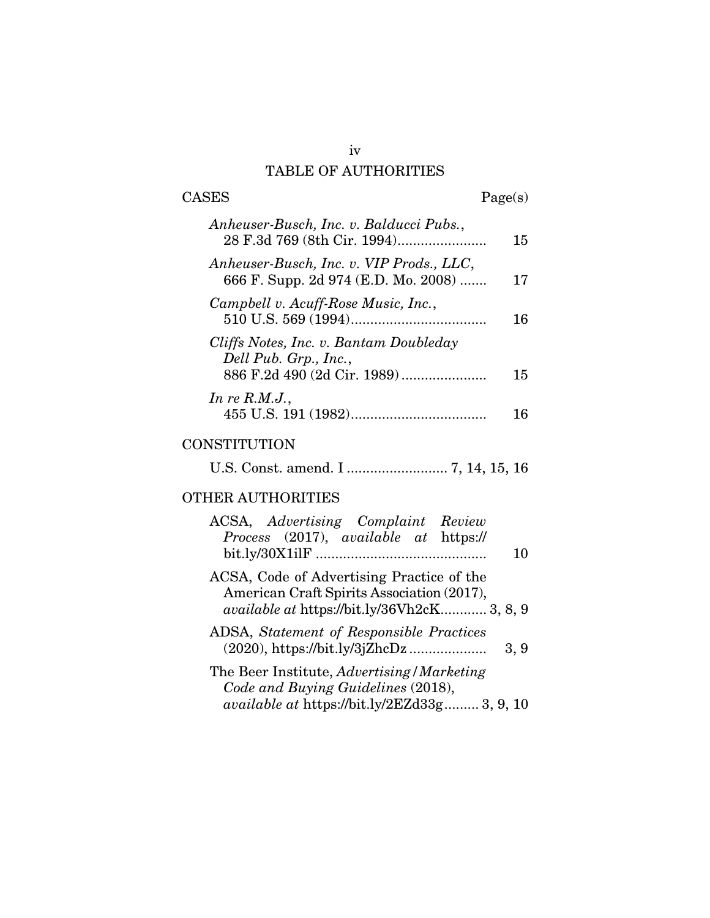## TABLE OF AUTHORITIES

| <b>CASES</b>                                                                    | Page(s) |
|---------------------------------------------------------------------------------|---------|
| Anheuser-Busch, Inc. v. Balducci Pubs.,                                         | 15      |
| Anheuser-Busch, Inc. v. VIP Prods., LLC,<br>666 F. Supp. 2d 974 (E.D. Mo. 2008) | 17      |
| Campbell v. Acuff-Rose Music, Inc.,                                             | 16      |
| Cliffs Notes, Inc. v. Bantam Doubleday<br>Dell Pub. Grp., Inc.,                 | 15      |
| In re $R.M.J.,$                                                                 |         |

# **CONSTITUTION**

U.S. Const. amend. I .......................... 7, 14, 15, 16

# OTHER AUTHORITIES

| ACSA, Advertising Complaint Review<br>Process (2017), available at https://                                                                   |
|-----------------------------------------------------------------------------------------------------------------------------------------------|
| 10                                                                                                                                            |
| ACSA, Code of Advertising Practice of the<br>American Craft Spirits Association (2017),<br><i>available at https://bit.ly/36Vh2cK</i> 3, 8, 9 |
|                                                                                                                                               |
| ADSA, Statement of Responsible Practices<br>3, 9                                                                                              |
| The Beer Institute, Advertising/Marketing                                                                                                     |
| Code and Buying Guidelines (2018),<br><i>available at https://bit.ly/2EZd33g 3, 9, 10</i>                                                     |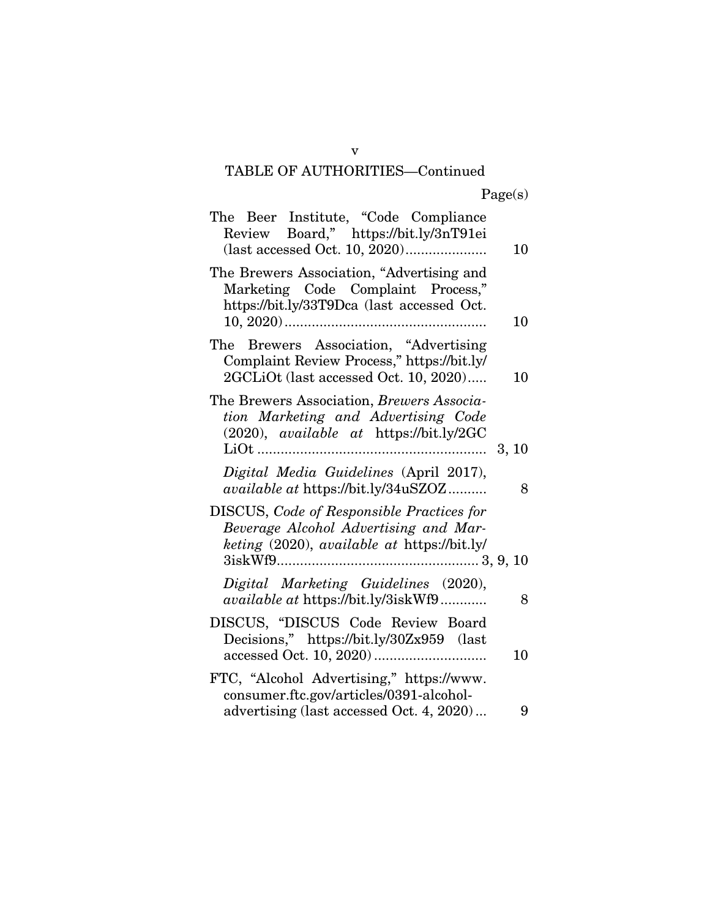# TABLE OF AUTHORITIES—Continued

| The Beer Institute, "Code Compliance<br>Review Board," https://bit.ly/3nT91ei                                                            | 10    |
|------------------------------------------------------------------------------------------------------------------------------------------|-------|
| The Brewers Association, "Advertising and<br>Marketing Code Complaint Process,"<br>https://bit.ly/33T9Dca (last accessed Oct.            | 10    |
| Brewers Association, "Advertising<br>The<br>Complaint Review Process," https://bit.ly/<br>2GCLiOt (last accessed Oct. 10, 2020)          | 10    |
| The Brewers Association, Brewers Associa-<br>tion Marketing and Advertising Code<br>(2020), available at https://bit.ly/2GC<br>$\ddotsc$ | 3, 10 |
| Digital Media Guidelines (April 2017),<br>available at https://bit.ly/34uSZOZ                                                            | 8     |
| <b>DISCUS, Code of Responsible Practices for</b><br>Beverage Alcohol Advertising and Mar-<br>keting (2020), available at https://bit.ly/ |       |
| Digital Marketing Guidelines (2020),<br>available at https://bit.ly/3iskWf9                                                              | 8     |
| DISCUS, "DISCUS Code Review Board<br>Decisions," https://bit.ly/30Zx959 (last                                                            | 10    |
| FTC, "Alcohol Advertising," https://www.<br>consumer.ftc.gov/articles/0391-alcohol-<br>advertising (last accessed Oct. 4, 2020)          | 9     |

v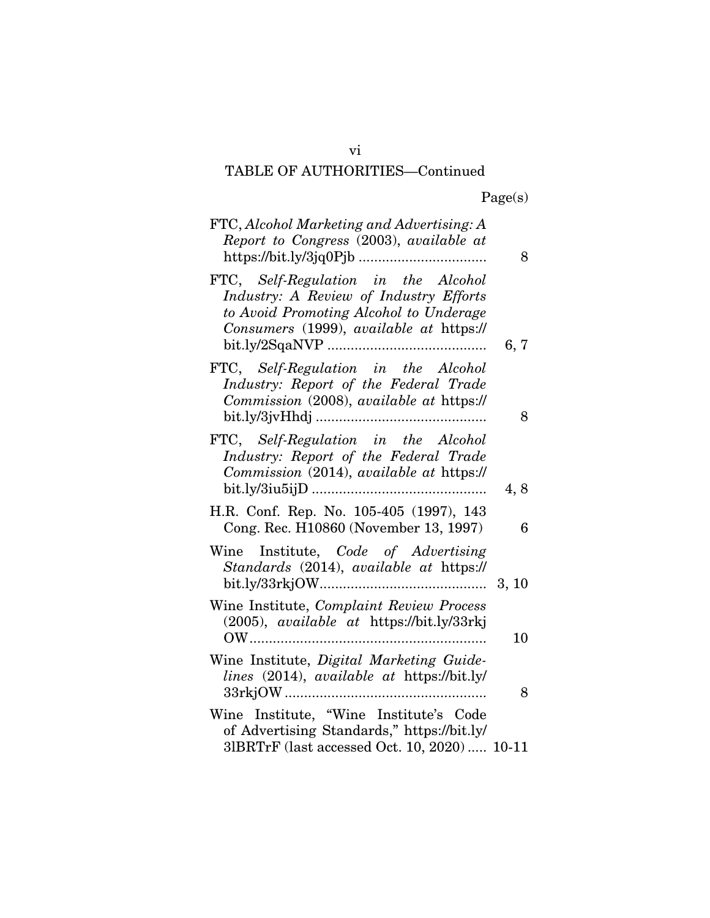# TABLE OF AUTHORITIES—Continued

Page(s)

| FTC, Alcohol Marketing and Advertising: A<br>Report to Congress (2003), available at                                                                               | 8    |
|--------------------------------------------------------------------------------------------------------------------------------------------------------------------|------|
| FTC, Self-Regulation in the Alcohol<br>Industry: A Review of Industry Efforts<br>to Avoid Promoting Alcohol to Underage<br>Consumers (1999), available at https:// | 6, 7 |
| FTC, Self-Regulation in the Alcohol<br>Industry: Report of the Federal Trade<br>Commission (2008), available at https://                                           | 8    |
| FTC, Self-Regulation in the Alcohol<br>Industry: Report of the Federal Trade<br>Commission (2014), available at https://                                           | 4, 8 |
| H.R. Conf. Rep. No. 105-405 (1997), 143<br>Cong. Rec. H10860 (November 13, 1997)                                                                                   | 6    |
| Wine Institute, Code of Advertising<br>Standards (2014), available at https://                                                                                     |      |
| Wine Institute, Complaint Review Process<br>(2005), available at https://bit.ly/33rkj<br>OW                                                                        | 10   |
| Wine Institute, Digital Marketing Guide-<br>lines (2014), available at https://bit.ly/                                                                             | 8    |
| Wine Institute, "Wine Institute's Code<br>of Advertising Standards," https://bit.ly/<br>31BRTrF (last accessed Oct. 10, 2020) 10-11                                |      |

vi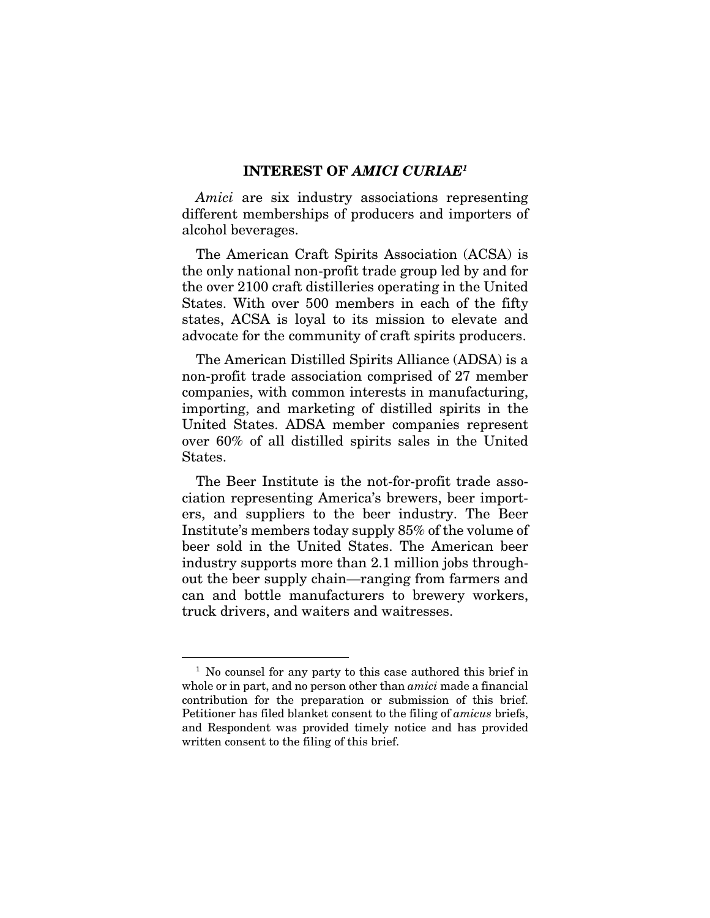#### INTEREST OF *AMICI CURIAE1*

*Amici* are six industry associations representing different memberships of producers and importers of alcohol beverages.

The American Craft Spirits Association (ACSA) is the only national non-profit trade group led by and for the over 2100 craft distilleries operating in the United States. With over 500 members in each of the fifty states, ACSA is loyal to its mission to elevate and advocate for the community of craft spirits producers.

The American Distilled Spirits Alliance (ADSA) is a non-profit trade association comprised of 27 member companies, with common interests in manufacturing, importing, and marketing of distilled spirits in the United States. ADSA member companies represent over 60% of all distilled spirits sales in the United States.

The Beer Institute is the not-for-profit trade association representing America's brewers, beer importers, and suppliers to the beer industry. The Beer Institute's members today supply 85% of the volume of beer sold in the United States. The American beer industry supports more than 2.1 million jobs throughout the beer supply chain—ranging from farmers and can and bottle manufacturers to brewery workers, truck drivers, and waiters and waitresses.

<sup>&</sup>lt;sup>1</sup> No counsel for any party to this case authored this brief in whole or in part, and no person other than *amici* made a financial contribution for the preparation or submission of this brief. Petitioner has filed blanket consent to the filing of *amicus* briefs, and Respondent was provided timely notice and has provided written consent to the filing of this brief.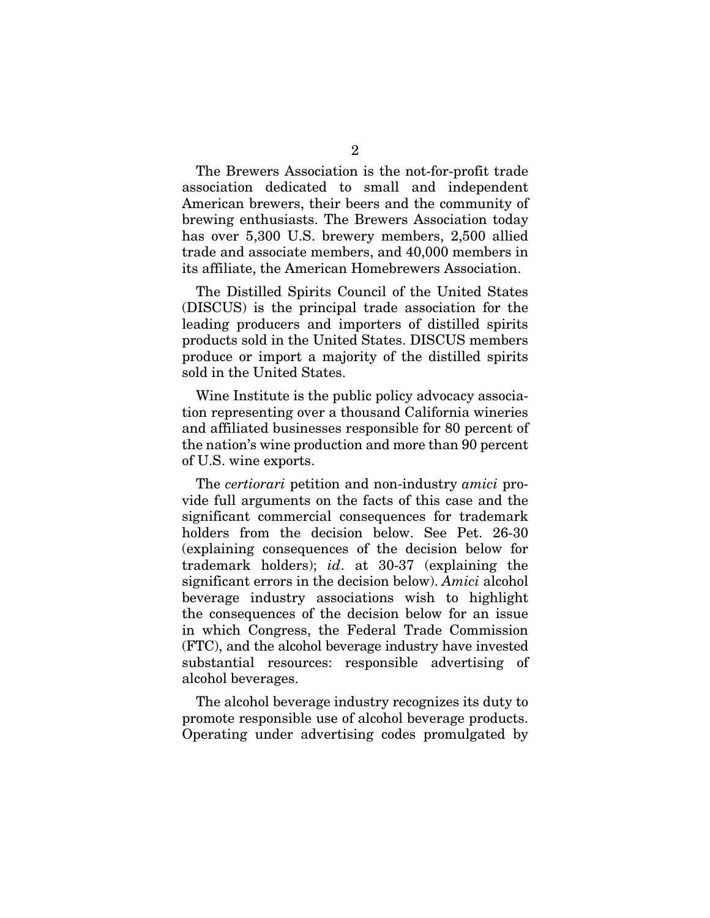The Brewers Association is the not-for-profit trade association dedicated to small and independent American brewers, their beers and the community of brewing enthusiasts. The Brewers Association today has over 5,300 U.S. brewery members, 2,500 allied trade and associate members, and 40,000 members in its affiliate, the American Homebrewers Association.

The Distilled Spirits Council of the United States (DISCUS) is the principal trade association for the leading producers and importers of distilled spirits products sold in the United States. DISCUS members produce or import a majority of the distilled spirits sold in the United States.

Wine Institute is the public policy advocacy association representing over a thousand California wineries and affiliated businesses responsible for 80 percent of the nation's wine production and more than 90 percent of U.S. wine exports.

The *certiorari* petition and non-industry *amici* provide full arguments on the facts of this case and the significant commercial consequences for trademark holders from the decision below. See Pet. 26-30 (explaining consequences of the decision below for trademark holders); *id*. at 30-37 (explaining the significant errors in the decision below). *Amici* alcohol beverage industry associations wish to highlight the consequences of the decision below for an issue in which Congress, the Federal Trade Commission (FTC), and the alcohol beverage industry have invested substantial resources: responsible advertising of alcohol beverages.

The alcohol beverage industry recognizes its duty to promote responsible use of alcohol beverage products. Operating under advertising codes promulgated by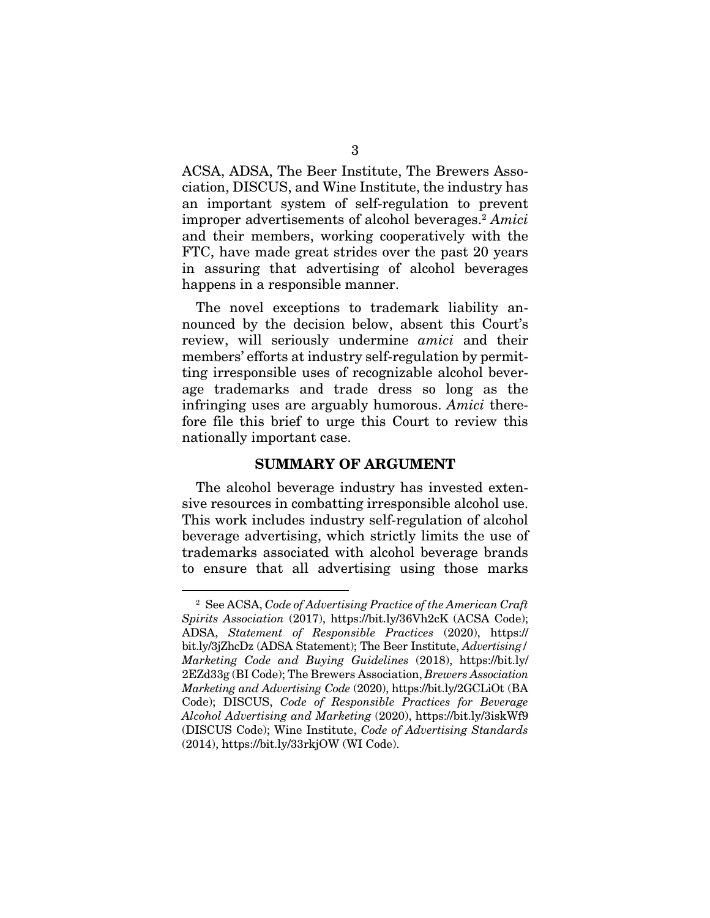ACSA, ADSA, The Beer Institute, The Brewers Association, DISCUS, and Wine Institute, the industry has an important system of self-regulation to prevent improper advertisements of alcohol beverages.2 *Amici* and their members, working cooperatively with the FTC, have made great strides over the past 20 years in assuring that advertising of alcohol beverages happens in a responsible manner.

The novel exceptions to trademark liability announced by the decision below, absent this Court's review, will seriously undermine *amici* and their members' efforts at industry self-regulation by permitting irresponsible uses of recognizable alcohol beverage trademarks and trade dress so long as the infringing uses are arguably humorous. *Amici* therefore file this brief to urge this Court to review this nationally important case.

#### SUMMARY OF ARGUMENT

The alcohol beverage industry has invested extensive resources in combatting irresponsible alcohol use. This work includes industry self-regulation of alcohol beverage advertising, which strictly limits the use of trademarks associated with alcohol beverage brands to ensure that all advertising using those marks

<sup>2</sup> See ACSA, *Code of Advertising Practice of the American Craft Spirits Association* (2017), https://bit.ly/36Vh2cK (ACSA Code); ADSA, *Statement of Responsible Practices* (2020), https:// bit.ly/3jZhcDz (ADSA Statement); The Beer Institute, *Advertising/ Marketing Code and Buying Guidelines* (2018), https://bit.ly/ 2EZd33g (BI Code); The Brewers Association, *Brewers Association Marketing and Advertising Code* (2020), https://bit.ly/2GCLiOt (BA Code); DISCUS, *Code of Responsible Practices for Beverage Alcohol Advertising and Marketing* (2020), https://bit.ly/3iskWf9 (DISCUS Code); Wine Institute, *Code of Advertising Standards* (2014), https://bit.ly/33rkjOW (WI Code).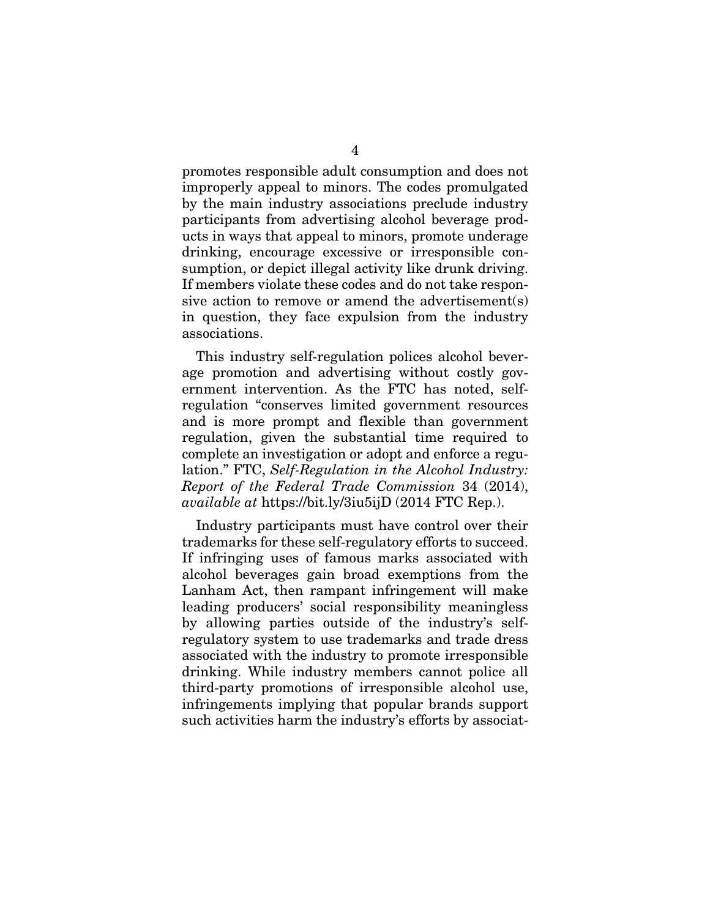promotes responsible adult consumption and does not improperly appeal to minors. The codes promulgated by the main industry associations preclude industry participants from advertising alcohol beverage products in ways that appeal to minors, promote underage drinking, encourage excessive or irresponsible consumption, or depict illegal activity like drunk driving. If members violate these codes and do not take responsive action to remove or amend the advertisement(s) in question, they face expulsion from the industry associations.

This industry self-regulation polices alcohol beverage promotion and advertising without costly government intervention. As the FTC has noted, selfregulation "conserves limited government resources and is more prompt and flexible than government regulation, given the substantial time required to complete an investigation or adopt and enforce a regulation." FTC, *Self-Regulation in the Alcohol Industry: Report of the Federal Trade Commission* 34 (2014), *available at* https://bit.ly/3iu5ijD (2014 FTC Rep.).

Industry participants must have control over their trademarks for these self-regulatory efforts to succeed. If infringing uses of famous marks associated with alcohol beverages gain broad exemptions from the Lanham Act, then rampant infringement will make leading producers' social responsibility meaningless by allowing parties outside of the industry's selfregulatory system to use trademarks and trade dress associated with the industry to promote irresponsible drinking. While industry members cannot police all third-party promotions of irresponsible alcohol use, infringements implying that popular brands support such activities harm the industry's efforts by associat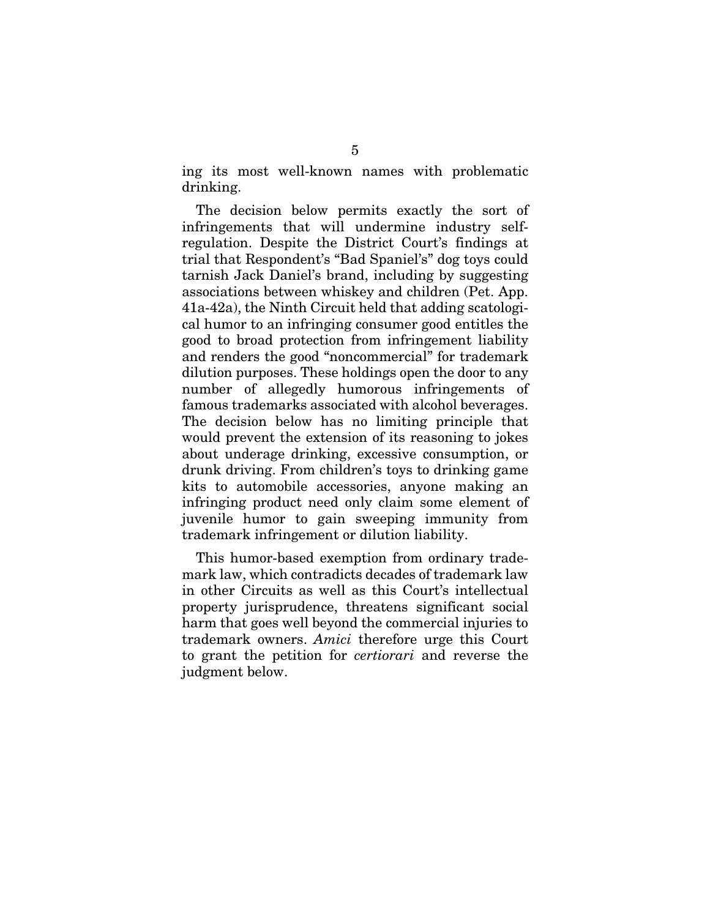ing its most well-known names with problematic drinking.

The decision below permits exactly the sort of infringements that will undermine industry selfregulation. Despite the District Court's findings at trial that Respondent's "Bad Spaniel's" dog toys could tarnish Jack Daniel's brand, including by suggesting associations between whiskey and children (Pet. App. 41a-42a), the Ninth Circuit held that adding scatological humor to an infringing consumer good entitles the good to broad protection from infringement liability and renders the good "noncommercial" for trademark dilution purposes. These holdings open the door to any number of allegedly humorous infringements of famous trademarks associated with alcohol beverages. The decision below has no limiting principle that would prevent the extension of its reasoning to jokes about underage drinking, excessive consumption, or drunk driving. From children's toys to drinking game kits to automobile accessories, anyone making an infringing product need only claim some element of juvenile humor to gain sweeping immunity from trademark infringement or dilution liability.

This humor-based exemption from ordinary trademark law, which contradicts decades of trademark law in other Circuits as well as this Court's intellectual property jurisprudence, threatens significant social harm that goes well beyond the commercial injuries to trademark owners. *Amici* therefore urge this Court to grant the petition for *certiorari* and reverse the judgment below.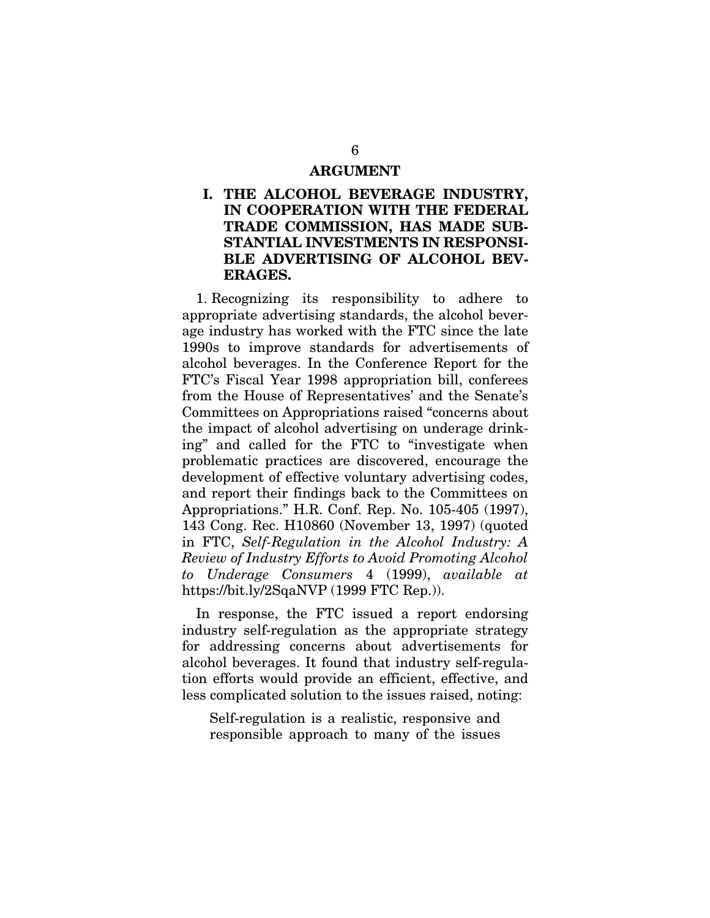#### ARGUMENT

## I. THE ALCOHOL BEVERAGE INDUSTRY, IN COOPERATION WITH THE FEDERAL TRADE COMMISSION, HAS MADE SUB-STANTIAL INVESTMENTS IN RESPONSI-BLE ADVERTISING OF ALCOHOL BEV-ERAGES.

1. Recognizing its responsibility to adhere to appropriate advertising standards, the alcohol beverage industry has worked with the FTC since the late 1990s to improve standards for advertisements of alcohol beverages. In the Conference Report for the FTC's Fiscal Year 1998 appropriation bill, conferees from the House of Representatives' and the Senate's Committees on Appropriations raised "concerns about the impact of alcohol advertising on underage drinking" and called for the FTC to "investigate when problematic practices are discovered, encourage the development of effective voluntary advertising codes, and report their findings back to the Committees on Appropriations." H.R. Conf. Rep. No. 105-405 (1997), 143 Cong. Rec. H10860 (November 13, 1997) (quoted in FTC, *Self-Regulation in the Alcohol Industry: A Review of Industry Efforts to Avoid Promoting Alcohol to Underage Consumers* 4 (1999), *available at* https://bit.ly/2SqaNVP (1999 FTC Rep.)).

In response, the FTC issued a report endorsing industry self-regulation as the appropriate strategy for addressing concerns about advertisements for alcohol beverages. It found that industry self-regulation efforts would provide an efficient, effective, and less complicated solution to the issues raised, noting:

Self-regulation is a realistic, responsive and responsible approach to many of the issues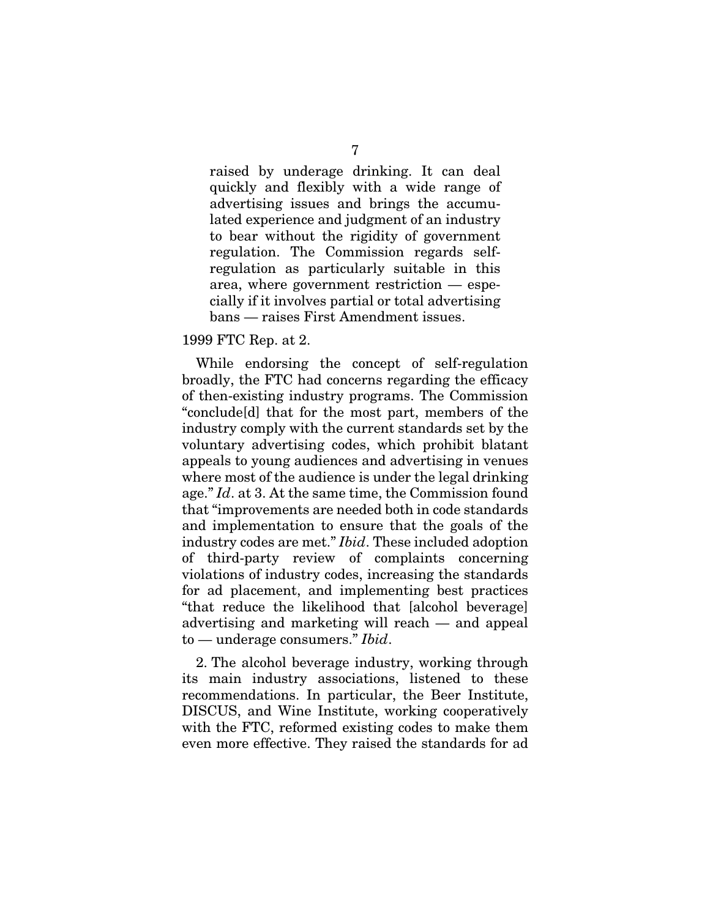raised by underage drinking. It can deal quickly and flexibly with a wide range of advertising issues and brings the accumulated experience and judgment of an industry to bear without the rigidity of government regulation. The Commission regards selfregulation as particularly suitable in this area, where government restriction — especially if it involves partial or total advertising bans — raises First Amendment issues.

#### 1999 FTC Rep. at 2.

While endorsing the concept of self-regulation broadly, the FTC had concerns regarding the efficacy of then-existing industry programs. The Commission "conclude[d] that for the most part, members of the industry comply with the current standards set by the voluntary advertising codes, which prohibit blatant appeals to young audiences and advertising in venues where most of the audience is under the legal drinking age." *Id*. at 3. At the same time, the Commission found that "improvements are needed both in code standards and implementation to ensure that the goals of the industry codes are met." *Ibid*. These included adoption of third-party review of complaints concerning violations of industry codes, increasing the standards for ad placement, and implementing best practices "that reduce the likelihood that [alcohol beverage] advertising and marketing will reach — and appeal to — underage consumers." *Ibid*.

2. The alcohol beverage industry, working through its main industry associations, listened to these recommendations. In particular, the Beer Institute, DISCUS, and Wine Institute, working cooperatively with the FTC, reformed existing codes to make them even more effective. They raised the standards for ad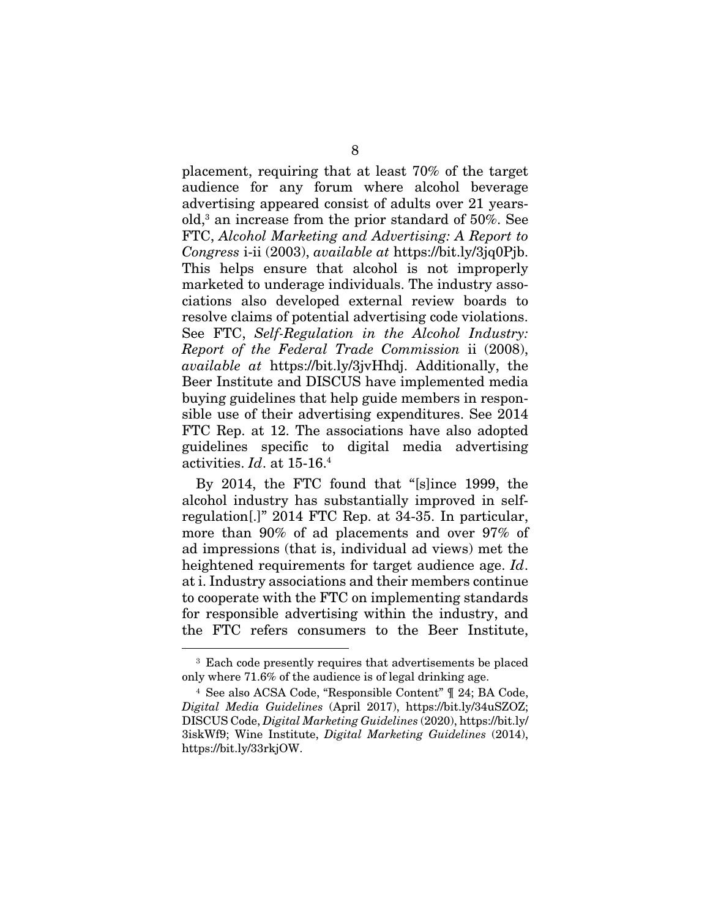placement, requiring that at least 70% of the target audience for any forum where alcohol beverage advertising appeared consist of adults over 21 yearsold,3 an increase from the prior standard of 50%. See FTC, *Alcohol Marketing and Advertising: A Report to Congress* i-ii (2003), *available at* https://bit.ly/3jq0Pjb. This helps ensure that alcohol is not improperly marketed to underage individuals. The industry associations also developed external review boards to resolve claims of potential advertising code violations. See FTC, *Self-Regulation in the Alcohol Industry: Report of the Federal Trade Commission* ii (2008), *available at* https://bit.ly/3jvHhdj. Additionally, the Beer Institute and DISCUS have implemented media buying guidelines that help guide members in responsible use of their advertising expenditures. See 2014 FTC Rep. at 12. The associations have also adopted guidelines specific to digital media advertising activities. *Id*. at 15-16.4

By 2014, the FTC found that "[s]ince 1999, the alcohol industry has substantially improved in selfregulation[.]" 2014 FTC Rep. at 34-35. In particular, more than 90% of ad placements and over 97% of ad impressions (that is, individual ad views) met the heightened requirements for target audience age. *Id*. at i. Industry associations and their members continue to cooperate with the FTC on implementing standards for responsible advertising within the industry, and the FTC refers consumers to the Beer Institute,

<sup>3</sup> Each code presently requires that advertisements be placed only where 71.6% of the audience is of legal drinking age.

<sup>4</sup> See also ACSA Code, "Responsible Content" ¶ 24; BA Code, *Digital Media Guidelines* (April 2017), https://bit.ly/34uSZOZ; DISCUS Code, *Digital Marketing Guidelines* (2020), https://bit.ly/ 3iskWf9; Wine Institute, *Digital Marketing Guidelines* (2014), https://bit.ly/33rkjOW.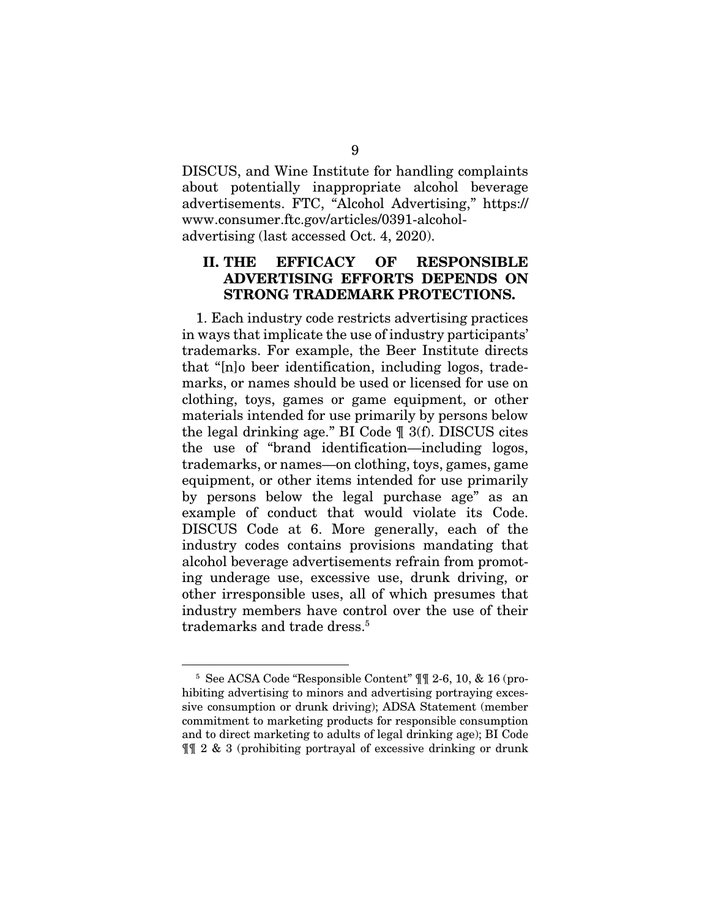DISCUS, and Wine Institute for handling complaints about potentially inappropriate alcohol beverage advertisements. FTC, "Alcohol Advertising," https:// www.consumer.ftc.gov/articles/0391-alcoholadvertising (last accessed Oct. 4, 2020).

## II. THE EFFICACY OF RESPONSIBLE ADVERTISING EFFORTS DEPENDS ON STRONG TRADEMARK PROTECTIONS.

1. Each industry code restricts advertising practices in ways that implicate the use of industry participants' trademarks. For example, the Beer Institute directs that "[n]o beer identification, including logos, trademarks, or names should be used or licensed for use on clothing, toys, games or game equipment, or other materials intended for use primarily by persons below the legal drinking age." BI Code ¶ 3(f). DISCUS cites the use of "brand identification—including logos, trademarks, or names—on clothing, toys, games, game equipment, or other items intended for use primarily by persons below the legal purchase age" as an example of conduct that would violate its Code. DISCUS Code at 6. More generally, each of the industry codes contains provisions mandating that alcohol beverage advertisements refrain from promoting underage use, excessive use, drunk driving, or other irresponsible uses, all of which presumes that industry members have control over the use of their trademarks and trade dress.<sup>5</sup>

<sup>5</sup> See ACSA Code "Responsible Content" ¶¶ 2-6, 10, & 16 (prohibiting advertising to minors and advertising portraying excessive consumption or drunk driving); ADSA Statement (member commitment to marketing products for responsible consumption and to direct marketing to adults of legal drinking age); BI Code ¶¶ 2 & 3 (prohibiting portrayal of excessive drinking or drunk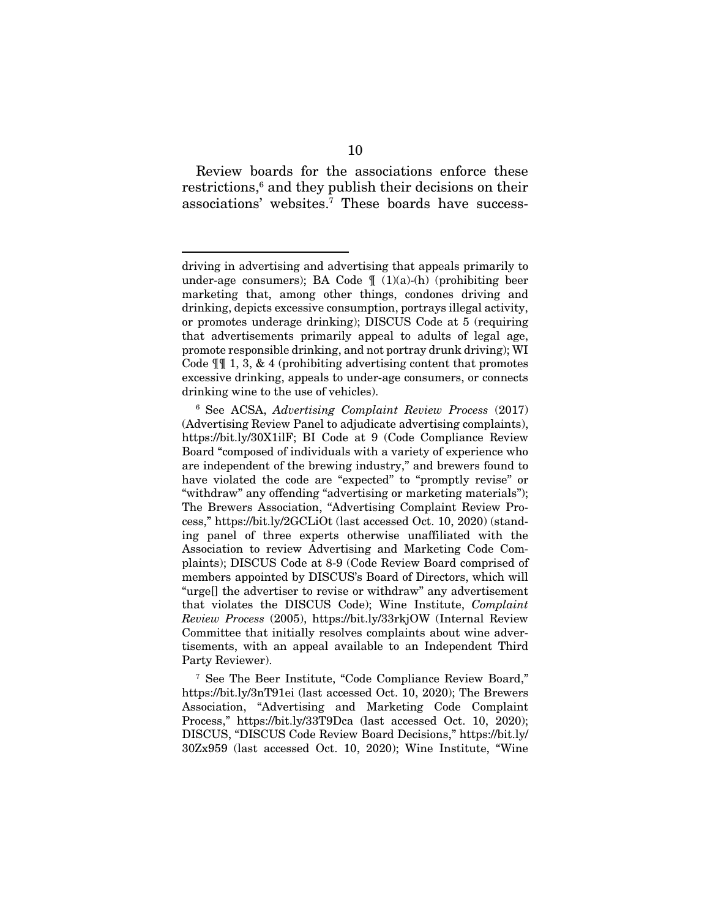Review boards for the associations enforce these restrictions,<sup>6</sup> and they publish their decisions on their associations' websites.7 These boards have success-

7 See The Beer Institute, "Code Compliance Review Board," https://bit.ly/3nT91ei (last accessed Oct. 10, 2020); The Brewers Association, "Advertising and Marketing Code Complaint Process," https://bit.ly/33T9Dca (last accessed Oct. 10, 2020); DISCUS, "DISCUS Code Review Board Decisions," https://bit.ly/ 30Zx959 (last accessed Oct. 10, 2020); Wine Institute, "Wine

driving in advertising and advertising that appeals primarily to under-age consumers); BA Code  $\parallel$  (1)(a)-(h) (prohibiting beer marketing that, among other things, condones driving and drinking, depicts excessive consumption, portrays illegal activity, or promotes underage drinking); DISCUS Code at 5 (requiring that advertisements primarily appeal to adults of legal age, promote responsible drinking, and not portray drunk driving); WI Code  $\P$  1, 3, & 4 (prohibiting advertising content that promotes excessive drinking, appeals to under-age consumers, or connects drinking wine to the use of vehicles).

<sup>6</sup> See ACSA, *Advertising Complaint Review Process* (2017) (Advertising Review Panel to adjudicate advertising complaints), https://bit.ly/30X1ilF; BI Code at 9 (Code Compliance Review Board "composed of individuals with a variety of experience who are independent of the brewing industry," and brewers found to have violated the code are "expected" to "promptly revise" or "withdraw" any offending "advertising or marketing materials"); The Brewers Association, "Advertising Complaint Review Process," https://bit.ly/2GCLiOt (last accessed Oct. 10, 2020) (standing panel of three experts otherwise unaffiliated with the Association to review Advertising and Marketing Code Complaints); DISCUS Code at 8-9 (Code Review Board comprised of members appointed by DISCUS's Board of Directors, which will "urge[] the advertiser to revise or withdraw" any advertisement that violates the DISCUS Code); Wine Institute, *Complaint Review Process* (2005), https://bit.ly/33rkjOW (Internal Review Committee that initially resolves complaints about wine advertisements, with an appeal available to an Independent Third Party Reviewer).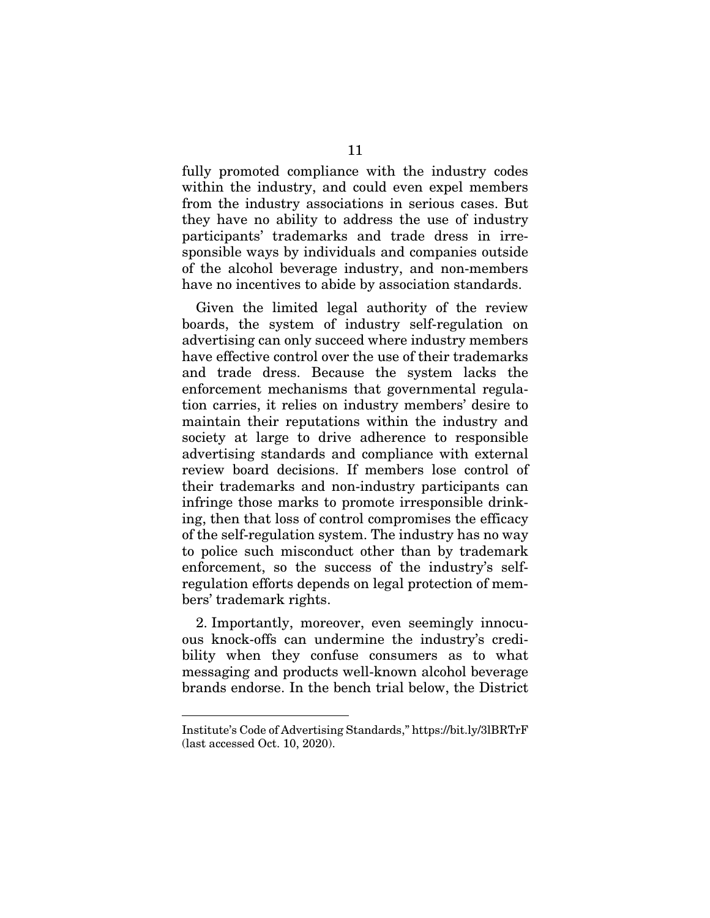fully promoted compliance with the industry codes within the industry, and could even expel members from the industry associations in serious cases. But they have no ability to address the use of industry participants' trademarks and trade dress in irresponsible ways by individuals and companies outside of the alcohol beverage industry, and non-members have no incentives to abide by association standards.

Given the limited legal authority of the review boards, the system of industry self-regulation on advertising can only succeed where industry members have effective control over the use of their trademarks and trade dress. Because the system lacks the enforcement mechanisms that governmental regulation carries, it relies on industry members' desire to maintain their reputations within the industry and society at large to drive adherence to responsible advertising standards and compliance with external review board decisions. If members lose control of their trademarks and non-industry participants can infringe those marks to promote irresponsible drinking, then that loss of control compromises the efficacy of the self-regulation system. The industry has no way to police such misconduct other than by trademark enforcement, so the success of the industry's selfregulation efforts depends on legal protection of members' trademark rights.

2. Importantly, moreover, even seemingly innocuous knock-offs can undermine the industry's credibility when they confuse consumers as to what messaging and products well-known alcohol beverage brands endorse. In the bench trial below, the District

Institute's Code of Advertising Standards," https://bit.ly/3lBRTrF (last accessed Oct. 10, 2020).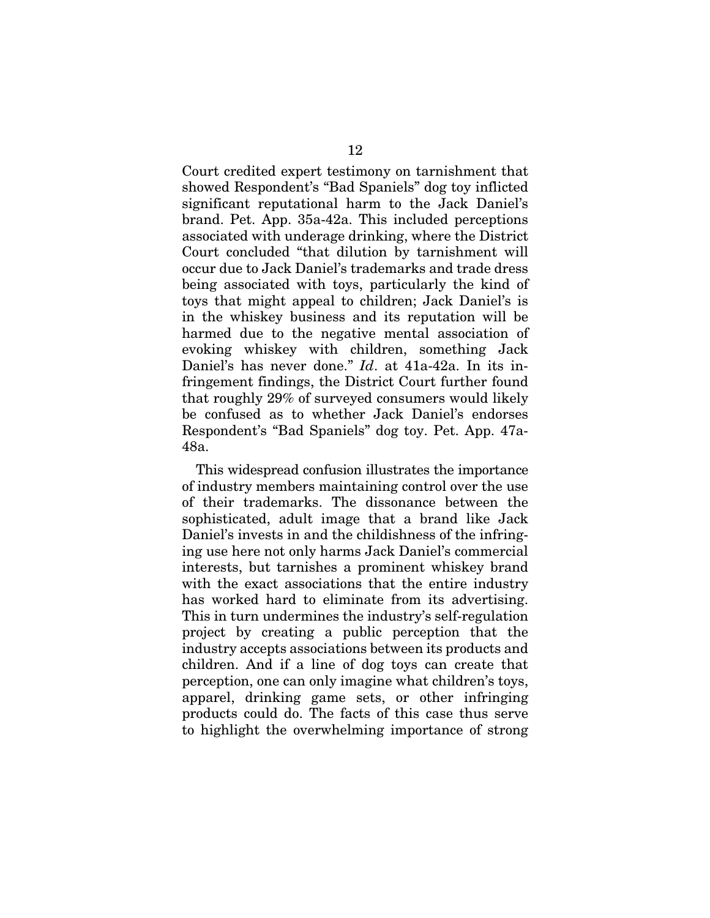Court credited expert testimony on tarnishment that showed Respondent's "Bad Spaniels" dog toy inflicted significant reputational harm to the Jack Daniel's brand. Pet. App. 35a-42a. This included perceptions associated with underage drinking, where the District Court concluded "that dilution by tarnishment will occur due to Jack Daniel's trademarks and trade dress being associated with toys, particularly the kind of toys that might appeal to children; Jack Daniel's is in the whiskey business and its reputation will be harmed due to the negative mental association of evoking whiskey with children, something Jack Daniel's has never done." *Id*. at 41a-42a. In its infringement findings, the District Court further found that roughly 29% of surveyed consumers would likely be confused as to whether Jack Daniel's endorses Respondent's "Bad Spaniels" dog toy. Pet. App. 47a-48a.

This widespread confusion illustrates the importance of industry members maintaining control over the use of their trademarks. The dissonance between the sophisticated, adult image that a brand like Jack Daniel's invests in and the childishness of the infringing use here not only harms Jack Daniel's commercial interests, but tarnishes a prominent whiskey brand with the exact associations that the entire industry has worked hard to eliminate from its advertising. This in turn undermines the industry's self-regulation project by creating a public perception that the industry accepts associations between its products and children. And if a line of dog toys can create that perception, one can only imagine what children's toys, apparel, drinking game sets, or other infringing products could do. The facts of this case thus serve to highlight the overwhelming importance of strong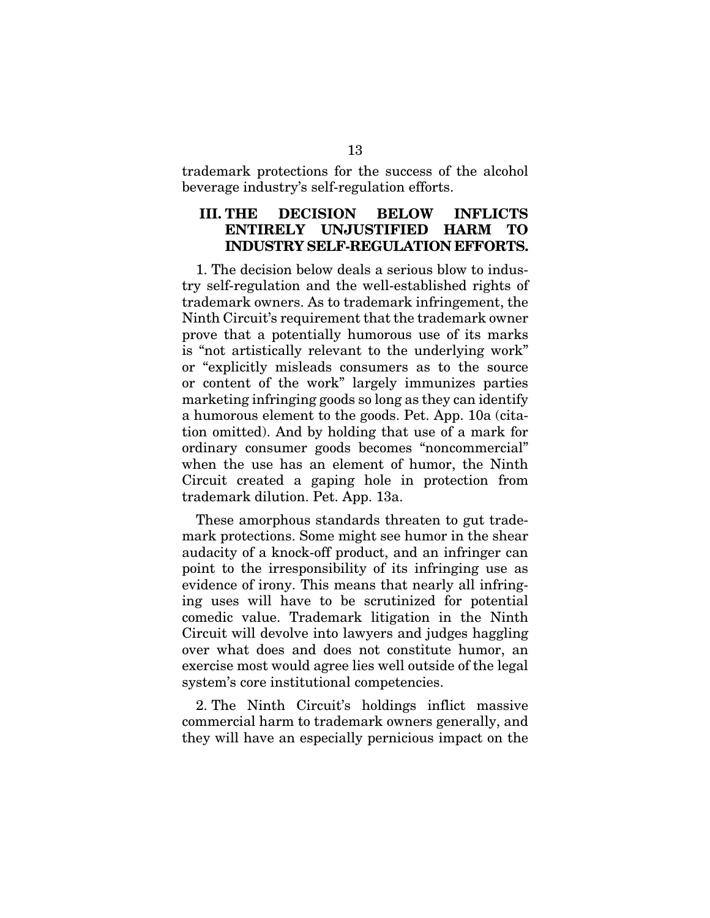trademark protections for the success of the alcohol beverage industry's self-regulation efforts.

### III. THE DECISION BELOW INFLICTS ENTIRELY UNJUSTIFIED HARM TO INDUSTRY SELF-REGULATION EFFORTS.

1. The decision below deals a serious blow to industry self-regulation and the well-established rights of trademark owners. As to trademark infringement, the Ninth Circuit's requirement that the trademark owner prove that a potentially humorous use of its marks is "not artistically relevant to the underlying work" or "explicitly misleads consumers as to the source or content of the work" largely immunizes parties marketing infringing goods so long as they can identify a humorous element to the goods. Pet. App. 10a (citation omitted). And by holding that use of a mark for ordinary consumer goods becomes "noncommercial" when the use has an element of humor, the Ninth Circuit created a gaping hole in protection from trademark dilution. Pet. App. 13a.

These amorphous standards threaten to gut trademark protections. Some might see humor in the shear audacity of a knock-off product, and an infringer can point to the irresponsibility of its infringing use as evidence of irony. This means that nearly all infringing uses will have to be scrutinized for potential comedic value. Trademark litigation in the Ninth Circuit will devolve into lawyers and judges haggling over what does and does not constitute humor, an exercise most would agree lies well outside of the legal system's core institutional competencies.

2. The Ninth Circuit's holdings inflict massive commercial harm to trademark owners generally, and they will have an especially pernicious impact on the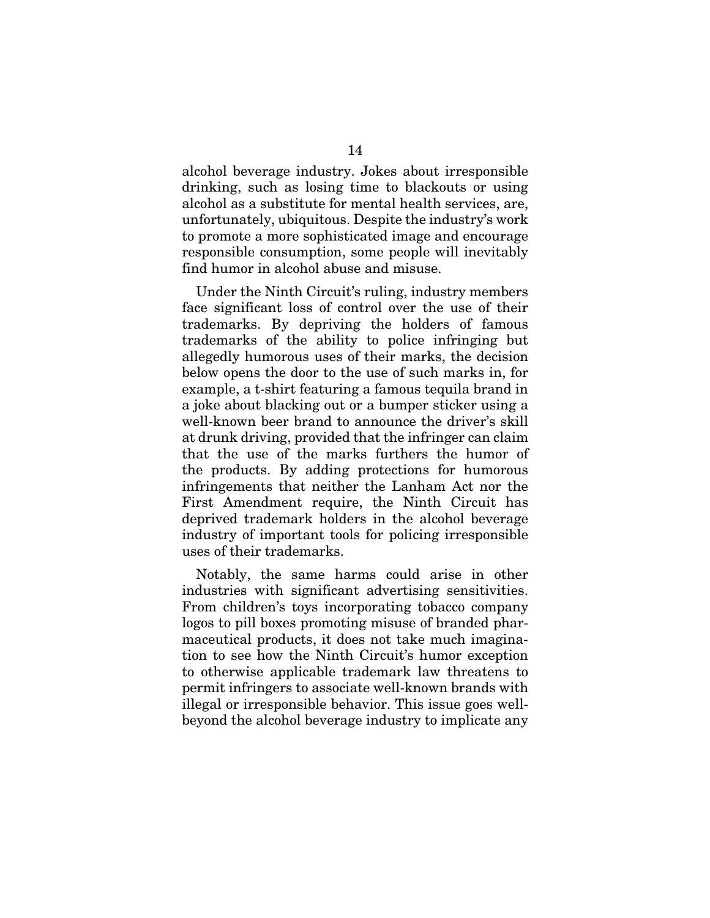alcohol beverage industry. Jokes about irresponsible drinking, such as losing time to blackouts or using alcohol as a substitute for mental health services, are, unfortunately, ubiquitous. Despite the industry's work to promote a more sophisticated image and encourage responsible consumption, some people will inevitably find humor in alcohol abuse and misuse.

Under the Ninth Circuit's ruling, industry members face significant loss of control over the use of their trademarks. By depriving the holders of famous trademarks of the ability to police infringing but allegedly humorous uses of their marks, the decision below opens the door to the use of such marks in, for example, a t-shirt featuring a famous tequila brand in a joke about blacking out or a bumper sticker using a well-known beer brand to announce the driver's skill at drunk driving, provided that the infringer can claim that the use of the marks furthers the humor of the products. By adding protections for humorous infringements that neither the Lanham Act nor the First Amendment require, the Ninth Circuit has deprived trademark holders in the alcohol beverage industry of important tools for policing irresponsible uses of their trademarks.

Notably, the same harms could arise in other industries with significant advertising sensitivities. From children's toys incorporating tobacco company logos to pill boxes promoting misuse of branded pharmaceutical products, it does not take much imagination to see how the Ninth Circuit's humor exception to otherwise applicable trademark law threatens to permit infringers to associate well-known brands with illegal or irresponsible behavior. This issue goes wellbeyond the alcohol beverage industry to implicate any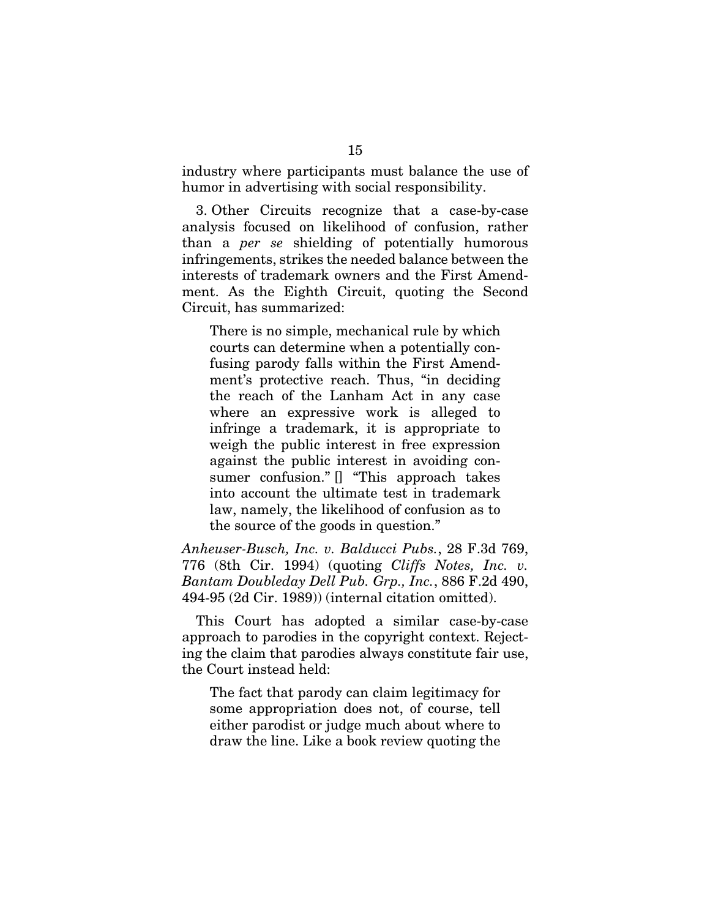industry where participants must balance the use of humor in advertising with social responsibility.

3. Other Circuits recognize that a case-by-case analysis focused on likelihood of confusion, rather than a *per se* shielding of potentially humorous infringements, strikes the needed balance between the interests of trademark owners and the First Amendment. As the Eighth Circuit, quoting the Second Circuit, has summarized:

There is no simple, mechanical rule by which courts can determine when a potentially confusing parody falls within the First Amendment's protective reach. Thus, "in deciding the reach of the Lanham Act in any case where an expressive work is alleged to infringe a trademark, it is appropriate to weigh the public interest in free expression against the public interest in avoiding consumer confusion." [] "This approach takes into account the ultimate test in trademark law, namely, the likelihood of confusion as to the source of the goods in question."

*Anheuser-Busch, Inc. v. Balducci Pubs.*, 28 F.3d 769, 776 (8th Cir. 1994) (quoting *Cliffs Notes, Inc. v. Bantam Doubleday Dell Pub. Grp., Inc.*, 886 F.2d 490, 494-95 (2d Cir. 1989)) (internal citation omitted).

This Court has adopted a similar case-by-case approach to parodies in the copyright context. Rejecting the claim that parodies always constitute fair use, the Court instead held:

The fact that parody can claim legitimacy for some appropriation does not, of course, tell either parodist or judge much about where to draw the line. Like a book review quoting the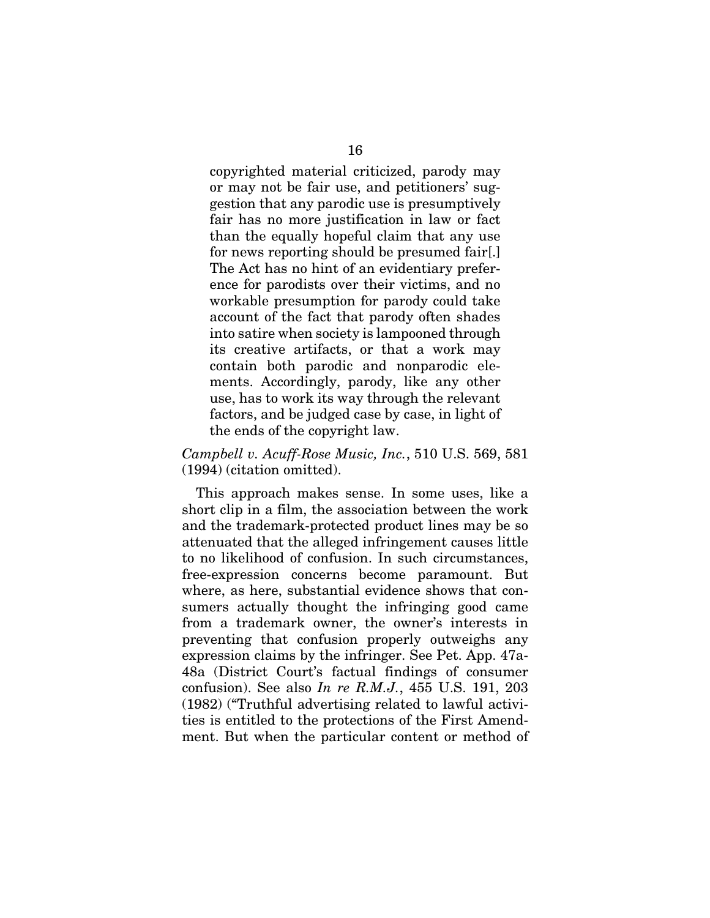copyrighted material criticized, parody may or may not be fair use, and petitioners' suggestion that any parodic use is presumptively fair has no more justification in law or fact than the equally hopeful claim that any use for news reporting should be presumed fair[.] The Act has no hint of an evidentiary preference for parodists over their victims, and no workable presumption for parody could take account of the fact that parody often shades into satire when society is lampooned through its creative artifacts, or that a work may contain both parodic and nonparodic elements. Accordingly, parody, like any other use, has to work its way through the relevant factors, and be judged case by case, in light of the ends of the copyright law.

### *Campbell v. Acuff-Rose Music, Inc.*, 510 U.S. 569, 581 (1994) (citation omitted).

This approach makes sense. In some uses, like a short clip in a film, the association between the work and the trademark-protected product lines may be so attenuated that the alleged infringement causes little to no likelihood of confusion. In such circumstances, free-expression concerns become paramount. But where, as here, substantial evidence shows that consumers actually thought the infringing good came from a trademark owner, the owner's interests in preventing that confusion properly outweighs any expression claims by the infringer. See Pet. App. 47a-48a (District Court's factual findings of consumer confusion). See also *In re R.M.J.*, 455 U.S. 191, 203 (1982) ("Truthful advertising related to lawful activities is entitled to the protections of the First Amendment. But when the particular content or method of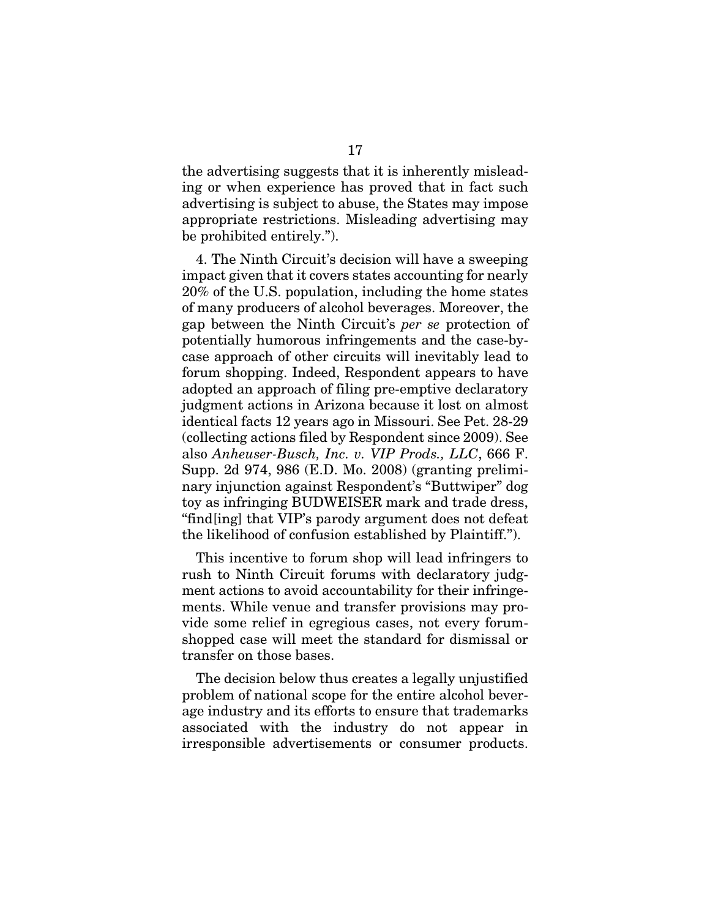the advertising suggests that it is inherently misleading or when experience has proved that in fact such advertising is subject to abuse, the States may impose appropriate restrictions. Misleading advertising may be prohibited entirely.").

4. The Ninth Circuit's decision will have a sweeping impact given that it covers states accounting for nearly 20% of the U.S. population, including the home states of many producers of alcohol beverages. Moreover, the gap between the Ninth Circuit's *per se* protection of potentially humorous infringements and the case-bycase approach of other circuits will inevitably lead to forum shopping. Indeed, Respondent appears to have adopted an approach of filing pre-emptive declaratory judgment actions in Arizona because it lost on almost identical facts 12 years ago in Missouri. See Pet. 28-29 (collecting actions filed by Respondent since 2009). See also *Anheuser-Busch, Inc. v. VIP Prods., LLC*, 666 F. Supp. 2d 974, 986 (E.D. Mo. 2008) (granting preliminary injunction against Respondent's "Buttwiper" dog toy as infringing BUDWEISER mark and trade dress, "find[ing] that VIP's parody argument does not defeat the likelihood of confusion established by Plaintiff.").

This incentive to forum shop will lead infringers to rush to Ninth Circuit forums with declaratory judgment actions to avoid accountability for their infringements. While venue and transfer provisions may provide some relief in egregious cases, not every forumshopped case will meet the standard for dismissal or transfer on those bases.

The decision below thus creates a legally unjustified problem of national scope for the entire alcohol beverage industry and its efforts to ensure that trademarks associated with the industry do not appear in irresponsible advertisements or consumer products.